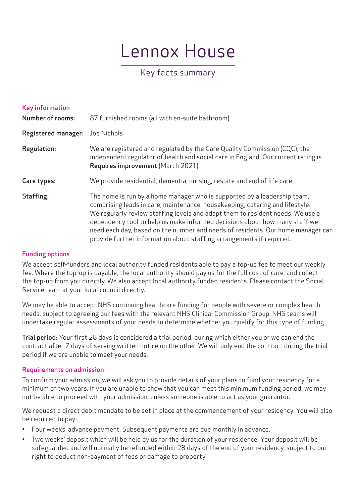# Lennox House

## Key facts summary

| <b>Key information</b><br><b>Number of rooms:</b> | 87 furnished rooms (all with en-suite bathroom).                                                                                                                                                                                                                                                                                                                                                                                                                                    |
|---------------------------------------------------|-------------------------------------------------------------------------------------------------------------------------------------------------------------------------------------------------------------------------------------------------------------------------------------------------------------------------------------------------------------------------------------------------------------------------------------------------------------------------------------|
| <b>Registered manager:</b>                        | Joe Nichols                                                                                                                                                                                                                                                                                                                                                                                                                                                                         |
| Regulation:                                       | We are registered and regulated by the Care Quality Commission (CQC), the<br>independent regulator of health and social care in England. Our current rating is<br>Requires improvement (March 2021).                                                                                                                                                                                                                                                                                |
| Care types:                                       | We provide residential, dementia, nursing, respite and end of life care.                                                                                                                                                                                                                                                                                                                                                                                                            |
| Staffing:                                         | The home is run by a home manager who is supported by a leadership team,<br>comprising leads in care, maintenance, housekeeping, catering and lifestyle.<br>We regularly review staffing levels and adapt them to resident needs. We use a<br>dependency tool to help us make informed decisions about how many staff we<br>need each day, based on the number and needs of residents. Our home manager can<br>provide further information about staffing arrangements if required. |

#### Funding options

We accept self-funders and local authority funded residents able to pay a top-up fee to meet our weekly fee. Where the top-up is payable, the local authority should pay us for the full cost of care, and collect the top-up from you directly. We also accept local authority funded residents. Please contact the Social Service team at your local council directly.

We may be able to accept NHS continuing healthcare funding for people with severe or complex health needs, subject to agreeing our fees with the relevant NHS Clinical Commission Group. NHS teams will undertake regular assessments of your needs to determine whether you qualify for this type of funding.

Trial period: Your first 28 days is considered a trial period, during which either you or we can end the contract after 7 days of serving written notice on the other. We will only end the contract during the trial period if we are unable to meet your needs.

#### Requirements on admission

To confirm your admission, we will ask you to provide details of your plans to fund your residency for a minimum of two years. If you are unable to show that you can meet this minimum funding period, we may not be able to proceed with your admission, unless someone is able to act as your guarantor.

We request a direct debit mandate to be set in place at the commencement of your residency. You will also be required to pay:

- Four weeks' advance payment. Subsequent payments are due monthly in advance.
- Two weeks' deposit which will be held by us for the duration of your residence. Your deposit will be safeguarded and will normally be refunded within 28 days of the end of your residency, subject to our right to deduct non-payment of fees or damage to property.